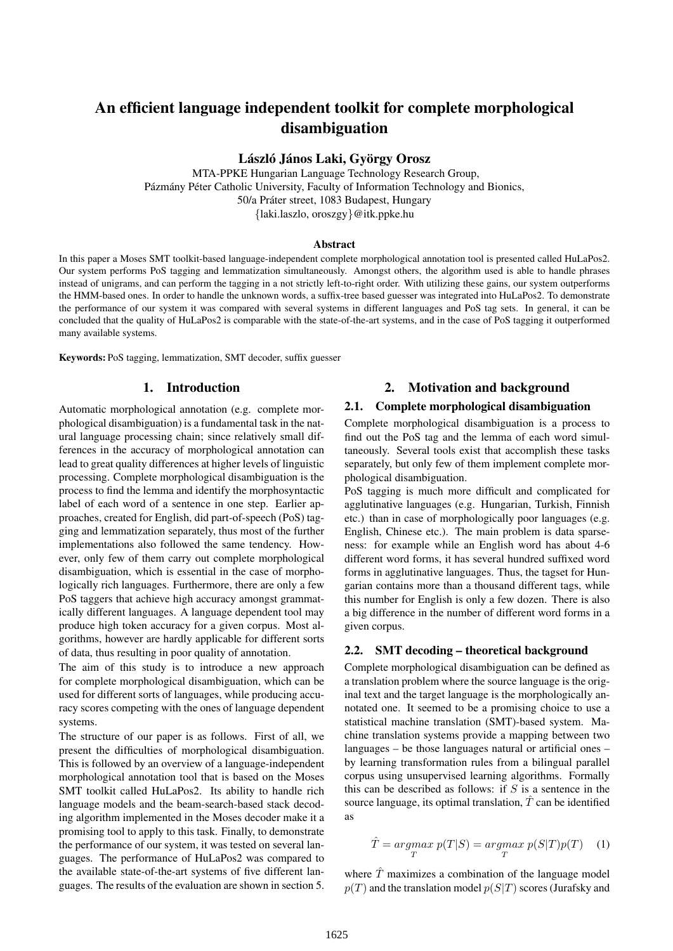# An efficient language independent toolkit for complete morphological disambiguation

#### László János Laki, György Orosz

MTA-PPKE Hungarian Language Technology Research Group, Pázmány Péter Catholic University, Faculty of Information Technology and Bionics, 50/a Práter street, 1083 Budapest, Hungary {laki.laszlo, oroszgy}@itk.ppke.hu

#### Abstract

In this paper a Moses SMT toolkit-based language-independent complete morphological annotation tool is presented called HuLaPos2. Our system performs PoS tagging and lemmatization simultaneously. Amongst others, the algorithm used is able to handle phrases instead of unigrams, and can perform the tagging in a not strictly left-to-right order. With utilizing these gains, our system outperforms the HMM-based ones. In order to handle the unknown words, a suffix-tree based guesser was integrated into HuLaPos2. To demonstrate the performance of our system it was compared with several systems in different languages and PoS tag sets. In general, it can be concluded that the quality of HuLaPos2 is comparable with the state-of-the-art systems, and in the case of PoS tagging it outperformed many available systems.

Keywords: PoS tagging, lemmatization, SMT decoder, suffix guesser

#### 1. Introduction

Automatic morphological annotation (e.g. complete morphological disambiguation) is a fundamental task in the natural language processing chain; since relatively small differences in the accuracy of morphological annotation can lead to great quality differences at higher levels of linguistic processing. Complete morphological disambiguation is the process to find the lemma and identify the morphosyntactic label of each word of a sentence in one step. Earlier approaches, created for English, did part-of-speech (PoS) tagging and lemmatization separately, thus most of the further implementations also followed the same tendency. However, only few of them carry out complete morphological disambiguation, which is essential in the case of morphologically rich languages. Furthermore, there are only a few PoS taggers that achieve high accuracy amongst grammatically different languages. A language dependent tool may produce high token accuracy for a given corpus. Most algorithms, however are hardly applicable for different sorts of data, thus resulting in poor quality of annotation.

The aim of this study is to introduce a new approach for complete morphological disambiguation, which can be used for different sorts of languages, while producing accuracy scores competing with the ones of language dependent systems.

The structure of our paper is as follows. First of all, we present the difficulties of morphological disambiguation. This is followed by an overview of a language-independent morphological annotation tool that is based on the Moses SMT toolkit called HuLaPos2. Its ability to handle rich language models and the beam-search-based stack decoding algorithm implemented in the Moses decoder make it a promising tool to apply to this task. Finally, to demonstrate the performance of our system, it was tested on several languages. The performance of HuLaPos2 was compared to the available state-of-the-art systems of five different languages. The results of the evaluation are shown in section 5.

## 2. Motivation and background

### 2.1. Complete morphological disambiguation

Complete morphological disambiguation is a process to find out the PoS tag and the lemma of each word simultaneously. Several tools exist that accomplish these tasks separately, but only few of them implement complete morphological disambiguation.

PoS tagging is much more difficult and complicated for agglutinative languages (e.g. Hungarian, Turkish, Finnish etc.) than in case of morphologically poor languages (e.g. English, Chinese etc.). The main problem is data sparseness: for example while an English word has about 4-6 different word forms, it has several hundred suffixed word forms in agglutinative languages. Thus, the tagset for Hungarian contains more than a thousand different tags, while this number for English is only a few dozen. There is also a big difference in the number of different word forms in a given corpus.

#### 2.2. SMT decoding – theoretical background

Complete morphological disambiguation can be defined as a translation problem where the source language is the original text and the target language is the morphologically annotated one. It seemed to be a promising choice to use a statistical machine translation (SMT)-based system. Machine translation systems provide a mapping between two languages – be those languages natural or artificial ones – by learning transformation rules from a bilingual parallel corpus using unsupervised learning algorithms. Formally this can be described as follows: if  $S$  is a sentence in the source language, its optimal translation,  $\hat{T}$  can be identified as

$$
\hat{T} = \underset{T}{argmax} \ p(T|S) = \underset{T}{argmax} \ p(S|T)p(T) \quad (1)
$$

where  $\hat{T}$  maximizes a combination of the language model  $p(T)$  and the translation model  $p(S|T)$  scores (Jurafsky and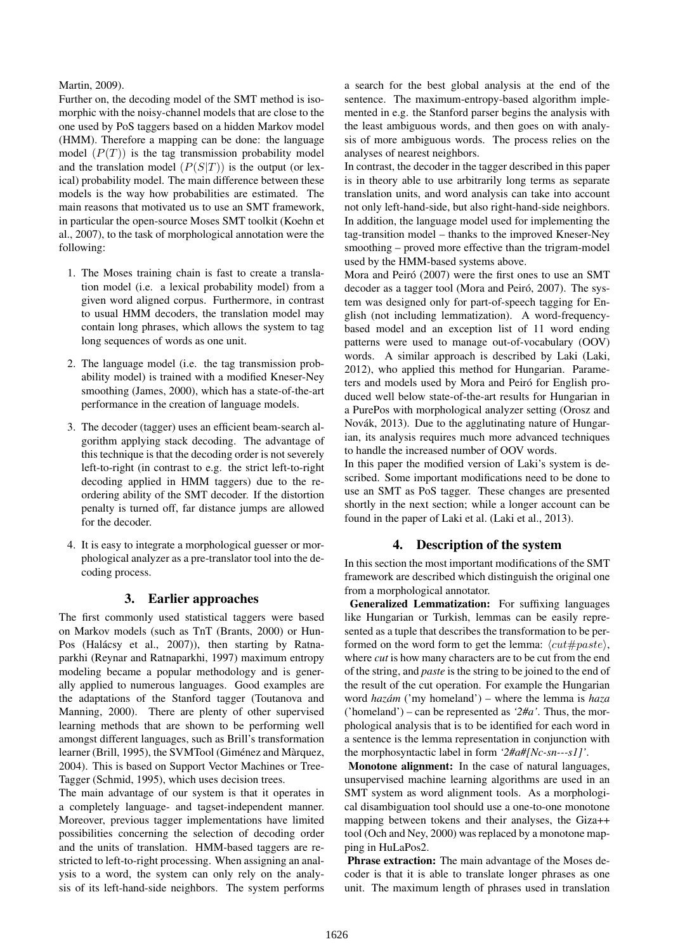#### Martin, 2009).

Further on, the decoding model of the SMT method is isomorphic with the noisy-channel models that are close to the one used by PoS taggers based on a hidden Markov model (HMM). Therefore a mapping can be done: the language model  $(P(T))$  is the tag transmission probability model and the translation model  $(P(S|T))$  is the output (or lexical) probability model. The main difference between these models is the way how probabilities are estimated. The main reasons that motivated us to use an SMT framework, in particular the open-source Moses SMT toolkit (Koehn et al., 2007), to the task of morphological annotation were the following:

- 1. The Moses training chain is fast to create a translation model (i.e. a lexical probability model) from a given word aligned corpus. Furthermore, in contrast to usual HMM decoders, the translation model may contain long phrases, which allows the system to tag long sequences of words as one unit.
- 2. The language model (i.e. the tag transmission probability model) is trained with a modified Kneser-Ney smoothing (James, 2000), which has a state-of-the-art performance in the creation of language models.
- 3. The decoder (tagger) uses an efficient beam-search algorithm applying stack decoding. The advantage of this technique is that the decoding order is not severely left-to-right (in contrast to e.g. the strict left-to-right decoding applied in HMM taggers) due to the reordering ability of the SMT decoder. If the distortion penalty is turned off, far distance jumps are allowed for the decoder.
- 4. It is easy to integrate a morphological guesser or morphological analyzer as a pre-translator tool into the decoding process.

### 3. Earlier approaches

The first commonly used statistical taggers were based on Markov models (such as TnT (Brants, 2000) or Hun-Pos (Halácsy et al., 2007)), then starting by Ratnaparkhi (Reynar and Ratnaparkhi, 1997) maximum entropy modeling became a popular methodology and is generally applied to numerous languages. Good examples are the adaptations of the Stanford tagger (Toutanova and Manning, 2000). There are plenty of other supervised learning methods that are shown to be performing well amongst different languages, such as Brill's transformation learner (Brill, 1995), the SVMTool (Giménez and Màrquez, 2004). This is based on Support Vector Machines or Tree-Tagger (Schmid, 1995), which uses decision trees.

The main advantage of our system is that it operates in a completely language- and tagset-independent manner. Moreover, previous tagger implementations have limited possibilities concerning the selection of decoding order and the units of translation. HMM-based taggers are restricted to left-to-right processing. When assigning an analysis to a word, the system can only rely on the analysis of its left-hand-side neighbors. The system performs a search for the best global analysis at the end of the sentence. The maximum-entropy-based algorithm implemented in e.g. the Stanford parser begins the analysis with the least ambiguous words, and then goes on with analysis of more ambiguous words. The process relies on the analyses of nearest neighbors.

In contrast, the decoder in the tagger described in this paper is in theory able to use arbitrarily long terms as separate translation units, and word analysis can take into account not only left-hand-side, but also right-hand-side neighbors. In addition, the language model used for implementing the tag-transition model – thanks to the improved Kneser-Ney smoothing – proved more effective than the trigram-model used by the HMM-based systems above.

Mora and Peiró (2007) were the first ones to use an SMT decoder as a tagger tool (Mora and Peiró, 2007). The system was designed only for part-of-speech tagging for English (not including lemmatization). A word-frequencybased model and an exception list of 11 word ending patterns were used to manage out-of-vocabulary (OOV) words. A similar approach is described by Laki (Laki, 2012), who applied this method for Hungarian. Parameters and models used by Mora and Peiró for English produced well below state-of-the-art results for Hungarian in a PurePos with morphological analyzer setting (Orosz and Novák, 2013). Due to the agglutinating nature of Hungarian, its analysis requires much more advanced techniques to handle the increased number of OOV words.

In this paper the modified version of Laki's system is described. Some important modifications need to be done to use an SMT as PoS tagger. These changes are presented shortly in the next section; while a longer account can be found in the paper of Laki et al. (Laki et al., 2013).

# 4. Description of the system

In this section the most important modifications of the SMT framework are described which distinguish the original one from a morphological annotator.

Generalized Lemmatization: For suffixing languages like Hungarian or Turkish, lemmas can be easily represented as a tuple that describes the transformation to be performed on the word form to get the lemma:  $\langle cut\#paste\rangle$ , where *cut* is how many characters are to be cut from the end of the string, and *paste* is the string to be joined to the end of the result of the cut operation. For example the Hungarian word *hazam´* ('my homeland') – where the lemma is *haza* ('homeland') – can be represented as *'2#a'*. Thus, the morphological analysis that is to be identified for each word in a sentence is the lemma representation in conjunction with the morphosyntactic label in form *'2#a#[Nc-sn---s1]'*.

Monotone alignment: In the case of natural languages, unsupervised machine learning algorithms are used in an SMT system as word alignment tools. As a morphological disambiguation tool should use a one-to-one monotone mapping between tokens and their analyses, the Giza++ tool (Och and Ney, 2000) was replaced by a monotone mapping in HuLaPos2.

Phrase extraction: The main advantage of the Moses decoder is that it is able to translate longer phrases as one unit. The maximum length of phrases used in translation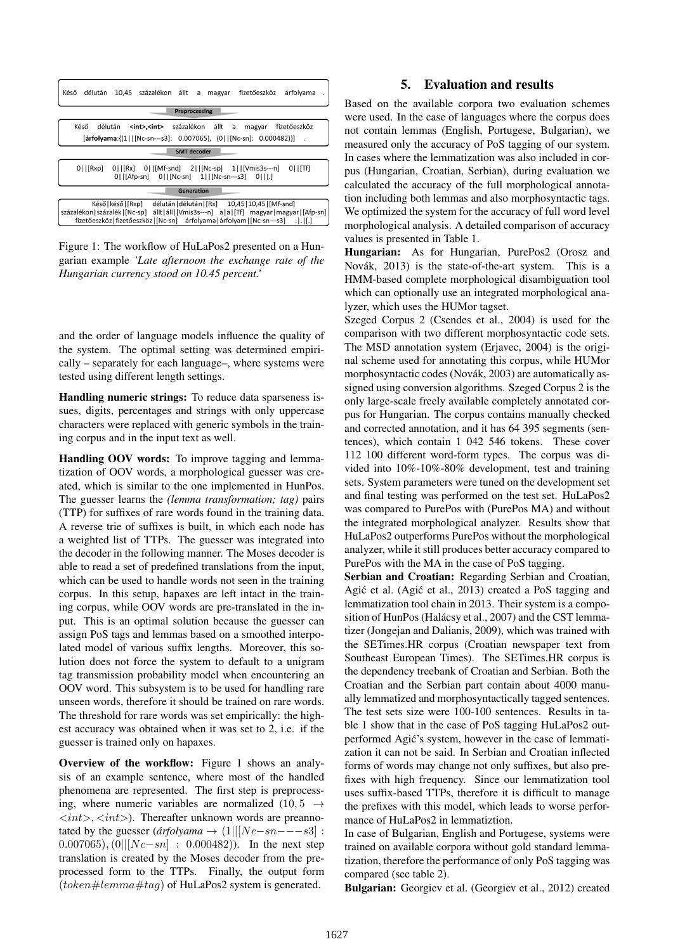

Figure 1: The workflow of HuLaPos2 presented on a Hungarian example *'Late afternoon the exchange rate of the Hungarian currency stood on 10.45 percent.'*

and the order of language models influence the quality of the system. The optimal setting was determined empirically – separately for each language–, where systems were tested using different length settings.

Handling numeric strings: To reduce data sparseness issues, digits, percentages and strings with only uppercase characters were replaced with generic symbols in the training corpus and in the input text as well.

Handling OOV words: To improve tagging and lemmatization of OOV words, a morphological guesser was created, which is similar to the one implemented in HunPos. The guesser learns the *(lemma transformation; tag)* pairs (TTP) for suffixes of rare words found in the training data. A reverse trie of suffixes is built, in which each node has a weighted list of TTPs. The guesser was integrated into the decoder in the following manner. The Moses decoder is able to read a set of predefined translations from the input, which can be used to handle words not seen in the training corpus. In this setup, hapaxes are left intact in the training corpus, while OOV words are pre-translated in the input. This is an optimal solution because the guesser can assign PoS tags and lemmas based on a smoothed interpolated model of various suffix lengths. Moreover, this solution does not force the system to default to a unigram tag transmission probability model when encountering an OOV word. This subsystem is to be used for handling rare unseen words, therefore it should be trained on rare words. The threshold for rare words was set empirically: the highest accuracy was obtained when it was set to 2, i.e. if the guesser is trained only on hapaxes.

Overview of the workflow: Figure 1 shows an analysis of an example sentence, where most of the handled phenomena are represented. The first step is preprocessing, where numeric variables are normalized  $(10, 5 \rightarrow$  $\langle \sin t \rangle$ ,  $\langle \sin t \rangle$ ). Thereafter unknown words are preannotated by the guesser ( $\hat{a}$ rfolyama  $\rightarrow$  (1||[Nc−sn−−−s3] : 0.007065),  $(0||[Nc - sn] : 0.000482)$ . In the next step translation is created by the Moses decoder from the preprocessed form to the TTPs. Finally, the output form  $(token \# lemma \# tag)$  of HuLaPos2 system is generated.

## 5. Evaluation and results

Based on the available corpora two evaluation schemes were used. In the case of languages where the corpus does not contain lemmas (English, Portugese, Bulgarian), we measured only the accuracy of PoS tagging of our system. In cases where the lemmatization was also included in corpus (Hungarian, Croatian, Serbian), during evaluation we calculated the accuracy of the full morphological annotation including both lemmas and also morphosyntactic tags. We optimized the system for the accuracy of full word level morphological analysis. A detailed comparison of accuracy values is presented in Table 1.

Hungarian: As for Hungarian, PurePos2 (Orosz and Novák, 2013) is the state-of-the-art system. This is a HMM-based complete morphological disambiguation tool which can optionally use an integrated morphological analyzer, which uses the HUMor tagset.

Szeged Corpus 2 (Csendes et al., 2004) is used for the comparison with two different morphosyntactic code sets. The MSD annotation system (Erjavec, 2004) is the original scheme used for annotating this corpus, while HUMor morphosyntactic codes (Novák, 2003) are automatically assigned using conversion algorithms. Szeged Corpus 2 is the only large-scale freely available completely annotated corpus for Hungarian. The corpus contains manually checked and corrected annotation, and it has 64 395 segments (sentences), which contain 1 042 546 tokens. These cover 112 100 different word-form types. The corpus was divided into 10%-10%-80% development, test and training sets. System parameters were tuned on the development set and final testing was performed on the test set. HuLaPos2 was compared to PurePos with (PurePos MA) and without the integrated morphological analyzer. Results show that HuLaPos2 outperforms PurePos without the morphological analyzer, while it still produces better accuracy compared to PurePos with the MA in the case of PoS tagging.

Serbian and Croatian: Regarding Serbian and Croatian, Agić et al. (Agić et al., 2013) created a PoS tagging and lemmatization tool chain in 2013. Their system is a composition of HunPos (Halácsy et al., 2007) and the CST lemmatizer (Jongejan and Dalianis, 2009), which was trained with the SETimes.HR corpus (Croatian newspaper text from Southeast European Times). The SETimes.HR corpus is the dependency treebank of Croatian and Serbian. Both the Croatian and the Serbian part contain about 4000 manually lemmatized and morphosyntactically tagged sentences. The test sets size were 100-100 sentences. Results in table 1 show that in the case of PoS tagging HuLaPos2 outperformed Agic's system, however in the case of lemmati- ´ zation it can not be said. In Serbian and Croatian inflected forms of words may change not only suffixes, but also prefixes with high frequency. Since our lemmatization tool uses suffix-based TTPs, therefore it is difficult to manage the prefixes with this model, which leads to worse performance of HuLaPos2 in lemmatiztion.

In case of Bulgarian, English and Portugese, systems were trained on available corpora without gold standard lemmatization, therefore the performance of only PoS tagging was compared (see table 2).

Bulgarian: Georgiev et al. (Georgiev et al., 2012) created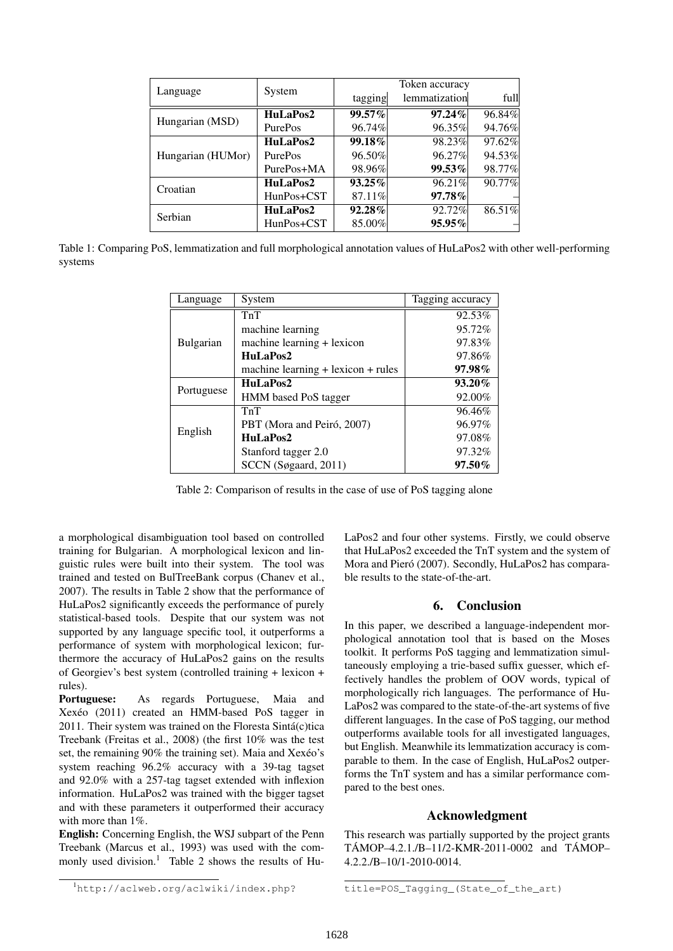|                   | System         | Token accuracy |               |        |
|-------------------|----------------|----------------|---------------|--------|
| Language          |                | tagging        | lemmatization | full   |
| Hungarian (MSD)   | HuLaPos2       | 99.57%         | $97.24\%$     | 96.84% |
|                   | PurePos        | 96.74%         | 96.35%        | 94.76% |
| Hungarian (HUMor) | HuLaPos2       | 99.18%         | 98.23%        | 97.62% |
|                   | <b>PurePos</b> | 96.50%         | 96.27%        | 94.53% |
|                   | PurePos+MA     | 98.96%         | 99.53%        | 98.77% |
| Croatian          | HuLaPos2       | $93.25\%$      | 96.21%        | 90.77% |
|                   | $HunPos+CST$   | 87.11%         | 97.78%        |        |
| Serbian           | HuLaPos2       | 92.28%         | 92.72%        | 86.51% |
|                   | $HunPos+CST$   | 85.00%         | 95.95%        |        |

Table 1: Comparing PoS, lemmatization and full morphological annotation values of HuLaPos2 with other well-performing systems

| Language         | System                                 | Tagging accuracy |
|------------------|----------------------------------------|------------------|
| <b>Bulgarian</b> | TnT                                    | 92.53%           |
|                  | machine learning                       | 95.72%           |
|                  | machine learning + lexicon             | 97.83%           |
|                  | HuLaPos2                               | 97.86%           |
|                  | machine learning $+$ lexicon $+$ rules | $97.98\%$        |
| Portuguese       | HuLaPos2                               | $93.20\%$        |
|                  | HMM based PoS tagger                   | 92.00%           |
| English          | TnT                                    | 96.46%           |
|                  | PBT (Mora and Peiró, 2007)             | 96.97%           |
|                  | HuLaPos2                               | 97.08%           |
|                  | Stanford tagger 2.0                    | 97.32%           |
|                  | SCCN (Søgaard, 2011)                   | $97.50\%$        |

Table 2: Comparison of results in the case of use of PoS tagging alone

a morphological disambiguation tool based on controlled training for Bulgarian. A morphological lexicon and linguistic rules were built into their system. The tool was trained and tested on BulTreeBank corpus (Chanev et al., 2007). The results in Table 2 show that the performance of HuLaPos2 significantly exceeds the performance of purely statistical-based tools. Despite that our system was not supported by any language specific tool, it outperforms a performance of system with morphological lexicon; furthermore the accuracy of HuLaPos2 gains on the results of Georgiev's best system (controlled training + lexicon + rules).

Portuguese: As regards Portuguese, Maia and  $Xexéo$  (2011) created an HMM-based PoS tagger in 2011. Their system was trained on the Floresta Sintá(c)tica Treebank (Freitas et al., 2008) (the first 10% was the test set, the remaining 90% the training set). Maia and Xexéo's system reaching 96.2% accuracy with a 39-tag tagset and 92.0% with a 257-tag tagset extended with inflexion information. HuLaPos2 was trained with the bigger tagset and with these parameters it outperformed their accuracy with more than 1%.

English: Concerning English, the WSJ subpart of the Penn Treebank (Marcus et al., 1993) was used with the commonly used division.<sup>1</sup> Table 2 shows the results of HuLaPos2 and four other systems. Firstly, we could observe that HuLaPos2 exceeded the TnT system and the system of Mora and Pieró (2007). Secondly, HuLaPos2 has comparable results to the state-of-the-art.

# 6. Conclusion

In this paper, we described a language-independent morphological annotation tool that is based on the Moses toolkit. It performs PoS tagging and lemmatization simultaneously employing a trie-based suffix guesser, which effectively handles the problem of OOV words, typical of morphologically rich languages. The performance of Hu-LaPos2 was compared to the state-of-the-art systems of five different languages. In the case of PoS tagging, our method outperforms available tools for all investigated languages, but English. Meanwhile its lemmatization accuracy is comparable to them. In the case of English, HuLaPos2 outperforms the TnT system and has a similar performance compared to the best ones.

#### Acknowledgment

This research was partially supported by the project grants  $TAMOP-4.2.1$ ./B- $11/2$ -KMR-2011-0002 and  $TAMOP-$ 4.2.2./B–10/1-2010-0014.

<sup>1</sup>http://aclweb.org/aclwiki/index.php?

title=POS\_Tagging\_(State\_of\_the\_art)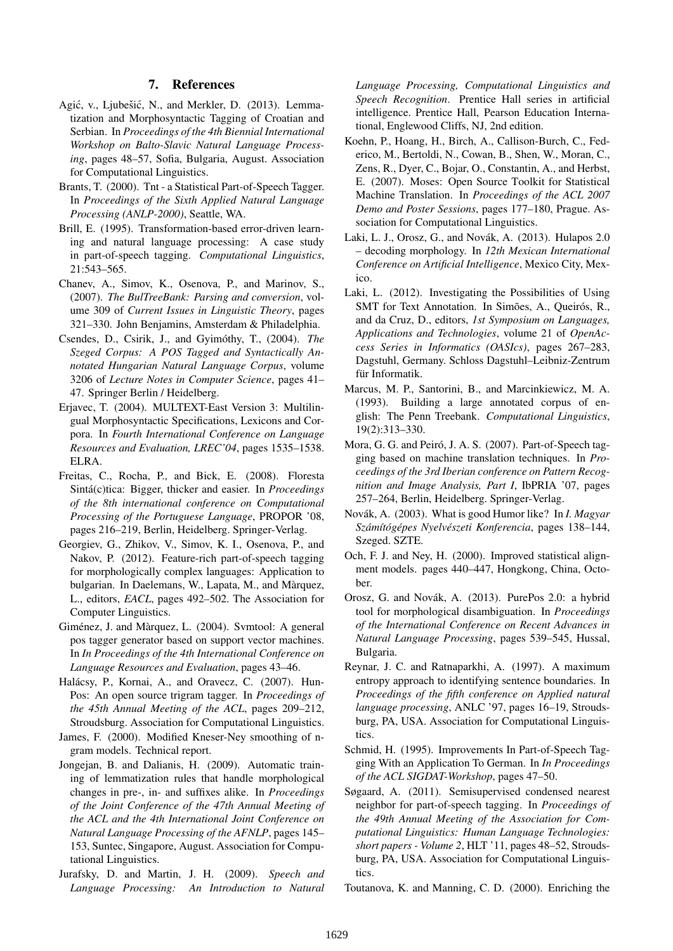#### 7. References

- Agić, v., Ljubešić, N., and Merkler, D. (2013). Lemmatization and Morphosyntactic Tagging of Croatian and Serbian. In *Proceedings of the 4th Biennial International Workshop on Balto-Slavic Natural Language Processing*, pages 48–57, Sofia, Bulgaria, August. Association for Computational Linguistics.
- Brants, T. (2000). Tnt a Statistical Part-of-Speech Tagger. In *Proceedings of the Sixth Applied Natural Language Processing (ANLP-2000)*, Seattle, WA.
- Brill, E. (1995). Transformation-based error-driven learning and natural language processing: A case study in part-of-speech tagging. *Computational Linguistics*, 21:543–565.
- Chanev, A., Simov, K., Osenova, P., and Marinov, S., (2007). *The BulTreeBank: Parsing and conversion*, volume 309 of *Current Issues in Linguistic Theory*, pages 321–330. John Benjamins, Amsterdam & Philadelphia.
- Csendes, D., Csirik, J., and Gyimóthy, T., (2004). *The Szeged Corpus: A POS Tagged and Syntactically Annotated Hungarian Natural Language Corpus*, volume 3206 of *Lecture Notes in Computer Science*, pages 41– 47. Springer Berlin / Heidelberg.
- Erjavec, T. (2004). MULTEXT-East Version 3: Multilingual Morphosyntactic Specifications, Lexicons and Corpora. In *Fourth International Conference on Language Resources and Evaluation, LREC'04*, pages 1535–1538. ELRA.
- Freitas, C., Rocha, P., and Bick, E. (2008). Floresta Sintá(c)tica: Bigger, thicker and easier. In *Proceedings of the 8th international conference on Computational Processing of the Portuguese Language*, PROPOR '08, pages 216–219, Berlin, Heidelberg. Springer-Verlag.
- Georgiev, G., Zhikov, V., Simov, K. I., Osenova, P., and Nakov, P. (2012). Feature-rich part-of-speech tagging for morphologically complex languages: Application to bulgarian. In Daelemans, W., Lapata, M., and Màrquez, L., editors, *EACL*, pages 492–502. The Association for Computer Linguistics.
- Giménez, J. and Màrquez, L. (2004). Svmtool: A general pos tagger generator based on support vector machines. In *In Proceedings of the 4th International Conference on Language Resources and Evaluation*, pages 43–46.
- Halácsy, P., Kornai, A., and Oravecz, C. (2007). Hun-Pos: An open source trigram tagger. In *Proceedings of the 45th Annual Meeting of the ACL*, pages 209–212, Stroudsburg. Association for Computational Linguistics.
- James, F. (2000). Modified Kneser-Ney smoothing of ngram models. Technical report.
- Jongejan, B. and Dalianis, H. (2009). Automatic training of lemmatization rules that handle morphological changes in pre-, in- and suffixes alike. In *Proceedings of the Joint Conference of the 47th Annual Meeting of the ACL and the 4th International Joint Conference on Natural Language Processing of the AFNLP*, pages 145– 153, Suntec, Singapore, August. Association for Computational Linguistics.
- Jurafsky, D. and Martin, J. H. (2009). *Speech and Language Processing: An Introduction to Natural*

*Language Processing, Computational Linguistics and Speech Recognition*. Prentice Hall series in artificial intelligence. Prentice Hall, Pearson Education International, Englewood Cliffs, NJ, 2nd edition.

- Koehn, P., Hoang, H., Birch, A., Callison-Burch, C., Federico, M., Bertoldi, N., Cowan, B., Shen, W., Moran, C., Zens, R., Dyer, C., Bojar, O., Constantin, A., and Herbst, E. (2007). Moses: Open Source Toolkit for Statistical Machine Translation. In *Proceedings of the ACL 2007 Demo and Poster Sessions*, pages 177–180, Prague. Association for Computational Linguistics.
- Laki, L. J., Orosz, G., and Novák, A. (2013). Hulapos 2.0 – decoding morphology. In *12th Mexican International Conference on Artificial Intelligence*, Mexico City, Mexico.
- Laki, L. (2012). Investigating the Possibilities of Using SMT for Text Annotation. In Simões, A., Queirós, R., and da Cruz, D., editors, *1st Symposium on Languages, Applications and Technologies*, volume 21 of *OpenAccess Series in Informatics (OASIcs)*, pages 267–283, Dagstuhl, Germany. Schloss Dagstuhl–Leibniz-Zentrum für Informatik.
- Marcus, M. P., Santorini, B., and Marcinkiewicz, M. A. (1993). Building a large annotated corpus of english: The Penn Treebank. *Computational Linguistics*, 19(2):313–330.
- Mora, G. G. and Peiró, J. A. S. (2007). Part-of-Speech tagging based on machine translation techniques. In *Proceedings of the 3rd Iberian conference on Pattern Recognition and Image Analysis, Part I*, IbPRIA '07, pages 257–264, Berlin, Heidelberg. Springer-Verlag.
- Novák, A. (2003). What is good Humor like? In *I. Magyar Szam´ ´ıtog´ epes Nyelv ´ eszeti Konferencia ´* , pages 138–144, Szeged. SZTE.
- Och, F. J. and Ney, H. (2000). Improved statistical alignment models. pages 440–447, Hongkong, China, October.
- Orosz, G. and Novák, A. (2013). PurePos 2.0: a hybrid tool for morphological disambiguation. In *Proceedings of the International Conference on Recent Advances in Natural Language Processing*, pages 539–545, Hussal, Bulgaria.
- Reynar, J. C. and Ratnaparkhi, A. (1997). A maximum entropy approach to identifying sentence boundaries. In *Proceedings of the fifth conference on Applied natural language processing*, ANLC '97, pages 16–19, Stroudsburg, PA, USA. Association for Computational Linguistics.
- Schmid, H. (1995). Improvements In Part-of-Speech Tagging With an Application To German. In *In Proceedings of the ACL SIGDAT-Workshop*, pages 47–50.
- Søgaard, A. (2011). Semisupervised condensed nearest neighbor for part-of-speech tagging. In *Proceedings of the 49th Annual Meeting of the Association for Computational Linguistics: Human Language Technologies: short papers - Volume 2*, HLT '11, pages 48–52, Stroudsburg, PA, USA. Association for Computational Linguistics.
- Toutanova, K. and Manning, C. D. (2000). Enriching the